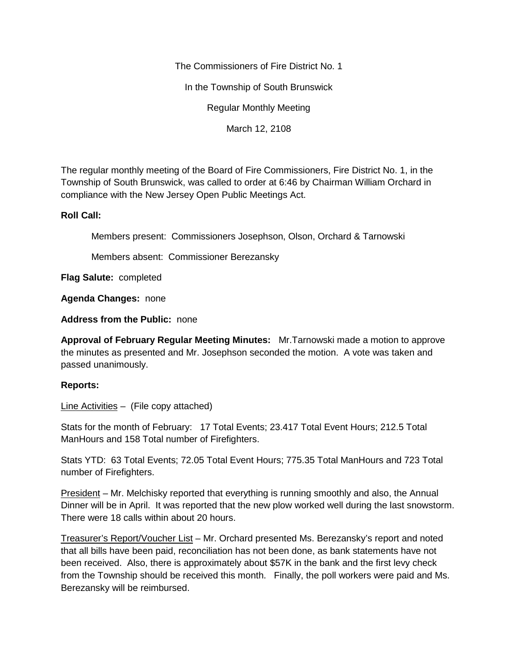The Commissioners of Fire District No. 1

In the Township of South Brunswick

Regular Monthly Meeting

March 12, 2108

The regular monthly meeting of the Board of Fire Commissioners, Fire District No. 1, in the Township of South Brunswick, was called to order at 6:46 by Chairman William Orchard in compliance with the New Jersey Open Public Meetings Act.

## **Roll Call:**

Members present: Commissioners Josephson, Olson, Orchard & Tarnowski

Members absent: Commissioner Berezansky

**Flag Salute:** completed

**Agenda Changes:** none

**Address from the Public:** none

**Approval of February Regular Meeting Minutes:** Mr.Tarnowski made a motion to approve the minutes as presented and Mr. Josephson seconded the motion. A vote was taken and passed unanimously.

## **Reports:**

Line Activities – (File copy attached)

Stats for the month of February: 17 Total Events; 23.417 Total Event Hours; 212.5 Total ManHours and 158 Total number of Firefighters.

Stats YTD: 63 Total Events; 72.05 Total Event Hours; 775.35 Total ManHours and 723 Total number of Firefighters.

President – Mr. Melchisky reported that everything is running smoothly and also, the Annual Dinner will be in April. It was reported that the new plow worked well during the last snowstorm. There were 18 calls within about 20 hours.

Treasurer's Report/Voucher List – Mr. Orchard presented Ms. Berezansky's report and noted that all bills have been paid, reconciliation has not been done, as bank statements have not been received. Also, there is approximately about \$57K in the bank and the first levy check from the Township should be received this month. Finally, the poll workers were paid and Ms. Berezansky will be reimbursed.